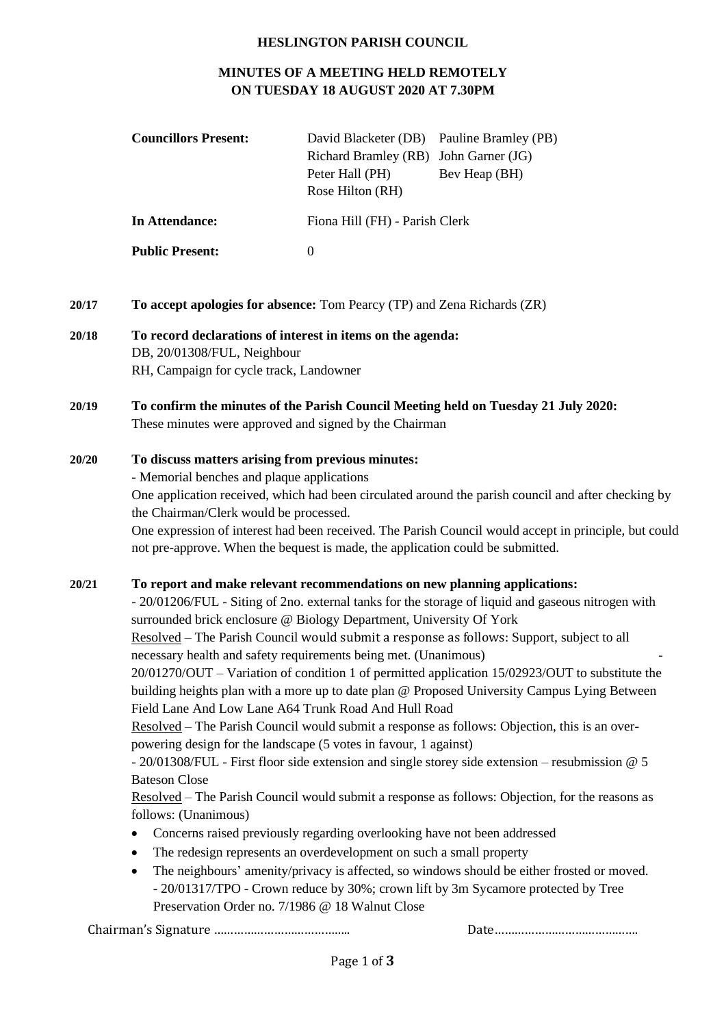#### **HESLINGTON PARISH COUNCIL**

## **MINUTES OF A MEETING HELD REMOTELY ON TUESDAY 18 AUGUST 2020 AT 7.30PM**

| <b>Councillors Present:</b> | David Blacketer (DB) Pauline Bramley (PB)<br>Richard Bramley (RB) John Garner (JG)<br>Peter Hall (PH)<br>Rose Hilton (RH) | Bev Heap (BH) |
|-----------------------------|---------------------------------------------------------------------------------------------------------------------------|---------------|
| In Attendance:              | Fiona Hill (FH) - Parish Clerk                                                                                            |               |
| <b>Public Present:</b>      | $\theta$                                                                                                                  |               |

- **20/17 To accept apologies for absence:** Tom Pearcy (TP) and Zena Richards (ZR)
- **20/18 To record declarations of interest in items on the agenda:**  DB, 20/01308/FUL, Neighbour RH, Campaign for cycle track, Landowner
- **20/19 To confirm the minutes of the Parish Council Meeting held on Tuesday 21 July 2020:** These minutes were approved and signed by the Chairman

### **20/20 To discuss matters arising from previous minutes:**

- Memorial benches and plaque applications

One application received, which had been circulated around the parish council and after checking by the Chairman/Clerk would be processed.

One expression of interest had been received. The Parish Council would accept in principle, but could not pre-approve. When the bequest is made, the application could be submitted.

### **20/21 To report and make relevant recommendations on new planning applications:**

- 20/01206/FUL - Siting of 2no. external tanks for the storage of liquid and gaseous nitrogen with surrounded brick enclosure @ Biology Department, University Of York

Resolved – The Parish Council would submit a response as follows: Support, subject to all necessary health and safety requirements being met. (Unanimous) -

20/01270/OUT – Variation of condition 1 of permitted application 15/02923/OUT to substitute the building heights plan with a more up to date plan @ Proposed University Campus Lying Between Field Lane And Low Lane A64 Trunk Road And Hull Road

Resolved – The Parish Council would submit a response as follows: Objection, this is an overpowering design for the landscape (5 votes in favour, 1 against)

- 20/01308/FUL - First floor side extension and single storey side extension – resubmission @ 5 Bateson Close

Resolved – The Parish Council would submit a response as follows: Objection, for the reasons as follows: (Unanimous)

- Concerns raised previously regarding overlooking have not been addressed
- The redesign represents an overdevelopment on such a small property
- The neighbours' amenity/privacy is affected, so windows should be either frosted or moved. - 20/01317/TPO - Crown reduce by 30%; crown lift by 3m Sycamore protected by Tree Preservation Order no. 7/1986 @ 18 Walnut Close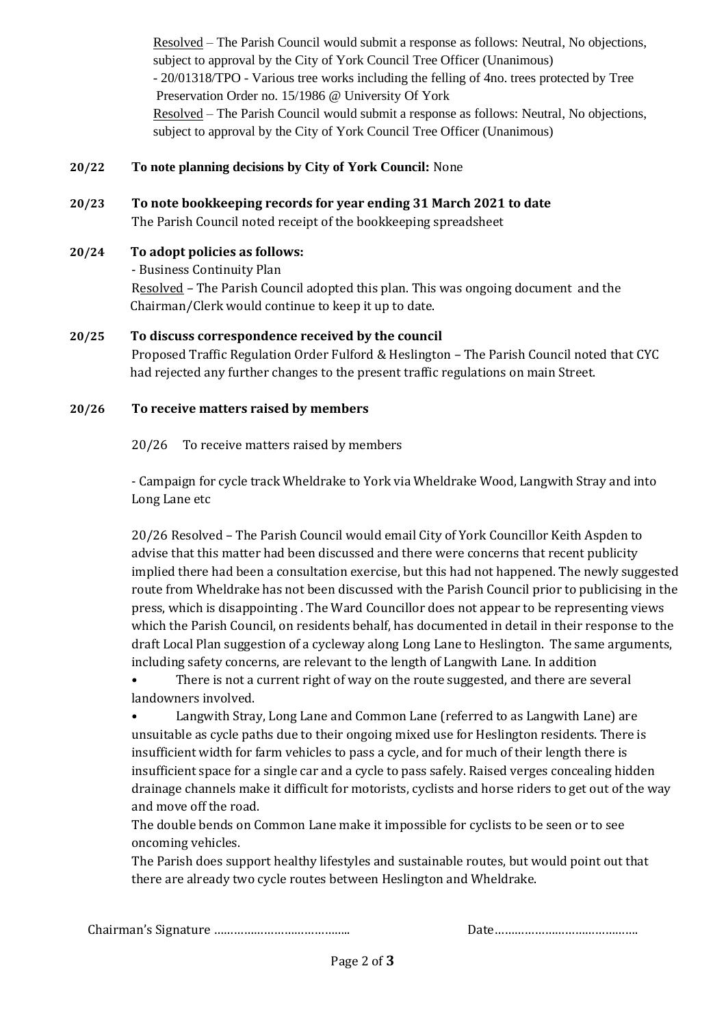Resolved – The Parish Council would submit a response as follows: Neutral, No objections, subject to approval by the City of York Council Tree Officer (Unanimous) - 20/01318/TPO - Various tree works including the felling of 4no. trees protected by Tree Preservation Order no. 15/1986 @ University Of York Resolved – The Parish Council would submit a response as follows: Neutral, No objections, subject to approval by the City of York Council Tree Officer (Unanimous)

## **20/22 To note planning decisions by City of York Council:** None

- **20/23 To note bookkeeping records for year ending 31 March 2021 to date** The Parish Council noted receipt of the bookkeeping spreadsheet
- **20/24 To adopt policies as follows:** - Business Continuity Plan Resolved – The Parish Council adopted this plan. This was ongoing document and the Chairman/Clerk would continue to keep it up to date.
- **20/25 To discuss correspondence received by the council** Proposed Traffic Regulation Order Fulford & Heslington – The Parish Council noted that CYC had rejected any further changes to the present traffic regulations on main Street.

### **20/26 To receive matters raised by members**

20/26 To receive matters raised by members

- Campaign for cycle track Wheldrake to York via Wheldrake Wood, Langwith Stray and into Long Lane etc

20/26 Resolved – The Parish Council would email City of York Councillor Keith Aspden to advise that this matter had been discussed and there were concerns that recent publicity implied there had been a consultation exercise, but this had not happened. The newly suggested route from Wheldrake has not been discussed with the Parish Council prior to publicising in the press, which is disappointing . The Ward Councillor does not appear to be representing views which the Parish Council, on residents behalf, has documented in detail in their response to the draft Local Plan suggestion of a cycleway along Long Lane to Heslington. The same arguments, including safety concerns, are relevant to the length of Langwith Lane. In addition

• There is not a current right of way on the route suggested, and there are several landowners involved.

• Langwith Stray, Long Lane and Common Lane (referred to as Langwith Lane) are unsuitable as cycle paths due to their ongoing mixed use for Heslington residents. There is insufficient width for farm vehicles to pass a cycle, and for much of their length there is insufficient space for a single car and a cycle to pass safely. Raised verges concealing hidden drainage channels make it difficult for motorists, cyclists and horse riders to get out of the way and move off the road.

The double bends on Common Lane make it impossible for cyclists to be seen or to see oncoming vehicles.

The Parish does support healthy lifestyles and sustainable routes, but would point out that there are already two cycle routes between Heslington and Wheldrake.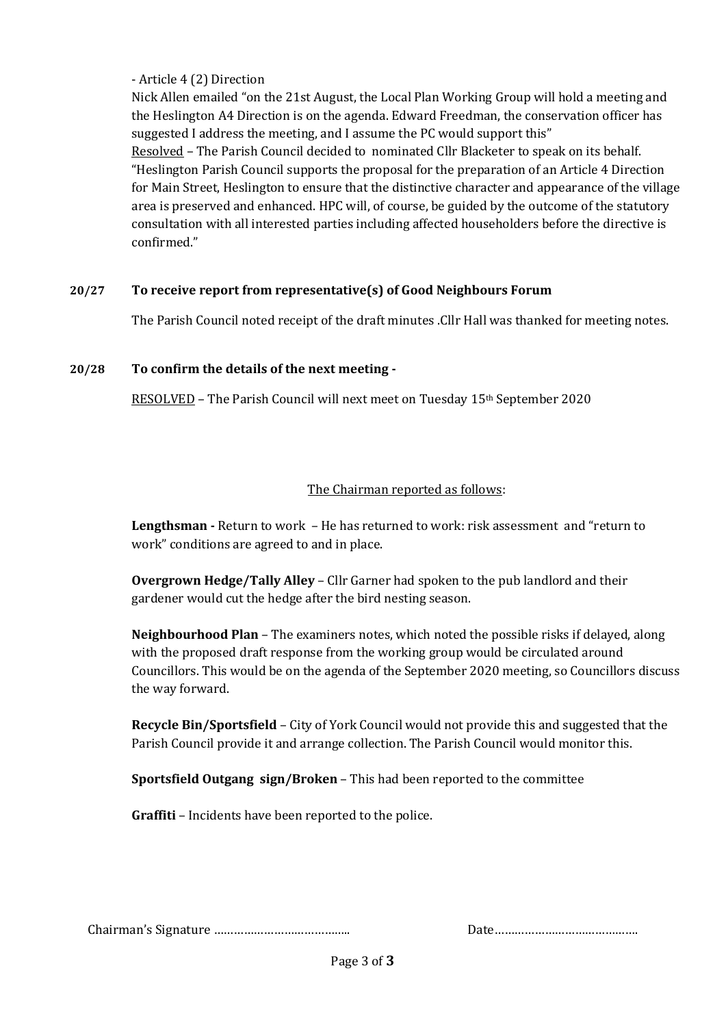- Article 4 (2) Direction

Nick Allen emailed "on the 21st August, the Local Plan Working Group will hold a meeting and the Heslington A4 Direction is on the agenda. Edward Freedman, the conservation officer has suggested I address the meeting, and I assume the PC would support this" Resolved – The Parish Council decided to nominated Cllr Blacketer to speak on its behalf. "Heslington Parish Council supports the proposal for the preparation of an Article 4 Direction for Main Street, Heslington to ensure that the distinctive character and appearance of the village area is preserved and enhanced. HPC will, of course, be guided by the outcome of the statutory consultation with all interested parties including affected householders before the directive is confirmed."

## **20/27 To receive report from representative(s) of Good Neighbours Forum**

The Parish Council noted receipt of the draft minutes .Cllr Hall was thanked for meeting notes.

### **20/28 To confirm the details of the next meeting -**

RESOLVED – The Parish Council will next meet on Tuesday 15th September 2020

### The Chairman reported as follows:

**Lengthsman -** Return to work – He has returned to work: risk assessment and "return to work" conditions are agreed to and in place.

**Overgrown Hedge/Tally Alley** – Cllr Garner had spoken to the pub landlord and their gardener would cut the hedge after the bird nesting season.

**Neighbourhood Plan** – The examiners notes, which noted the possible risks if delayed, along with the proposed draft response from the working group would be circulated around Councillors. This would be on the agenda of the September 2020 meeting, so Councillors discuss the way forward.

**Recycle Bin/Sportsfield** – City of York Council would not provide this and suggested that the Parish Council provide it and arrange collection. The Parish Council would monitor this.

**Sportsfield Outgang sign/Broken** – This had been reported to the committee

**Graffiti** – Incidents have been reported to the police.

|--|